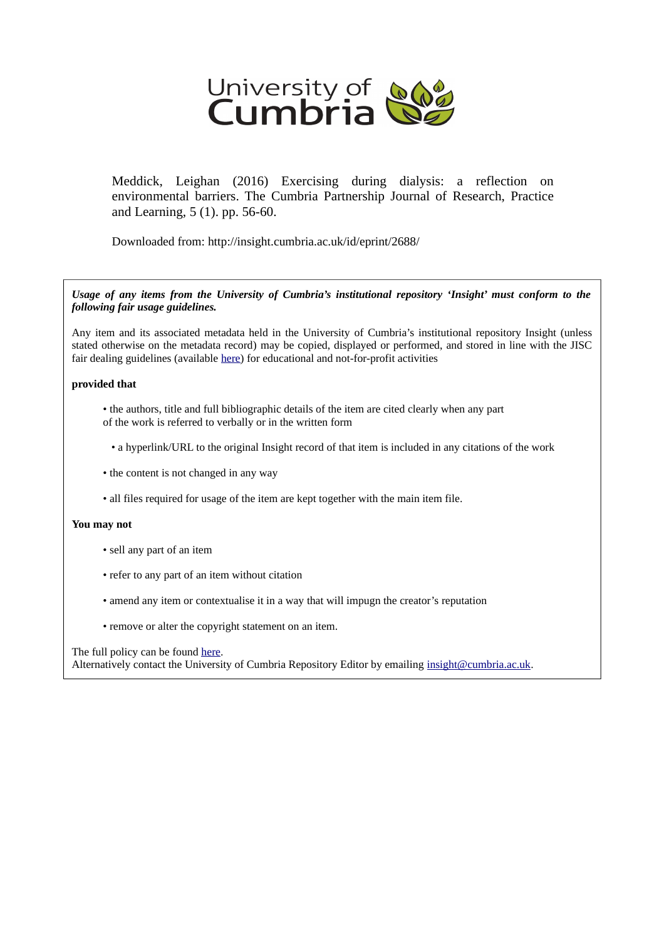

Meddick, Leighan (2016) Exercising during dialysis: a reflection on environmental barriers. The Cumbria Partnership Journal of Research, Practice and Learning, 5 (1). pp. 56-60.

Downloaded from: http://insight.cumbria.ac.uk/id/eprint/2688/

*Usage of any items from the University of Cumbria's institutional repository 'Insight' must conform to the following fair usage guidelines.*

Any item and its associated metadata held in the University of Cumbria's institutional repository Insight (unless stated otherwise on the metadata record) may be copied, displayed or performed, and stored in line with the JISC fair dealing guidelines (available [here\)](http://www.ukoln.ac.uk/services/elib/papers/pa/fair/) for educational and not-for-profit activities

#### **provided that**

- the authors, title and full bibliographic details of the item are cited clearly when any part of the work is referred to verbally or in the written form
	- a hyperlink/URL to the original Insight record of that item is included in any citations of the work
- the content is not changed in any way
- all files required for usage of the item are kept together with the main item file.

#### **You may not**

- sell any part of an item
- refer to any part of an item without citation
- amend any item or contextualise it in a way that will impugn the creator's reputation
- remove or alter the copyright statement on an item.

#### The full policy can be found [here.](http://insight.cumbria.ac.uk/legal.html#section5)

Alternatively contact the University of Cumbria Repository Editor by emailing [insight@cumbria.ac.uk.](mailto:insight@cumbria.ac.uk)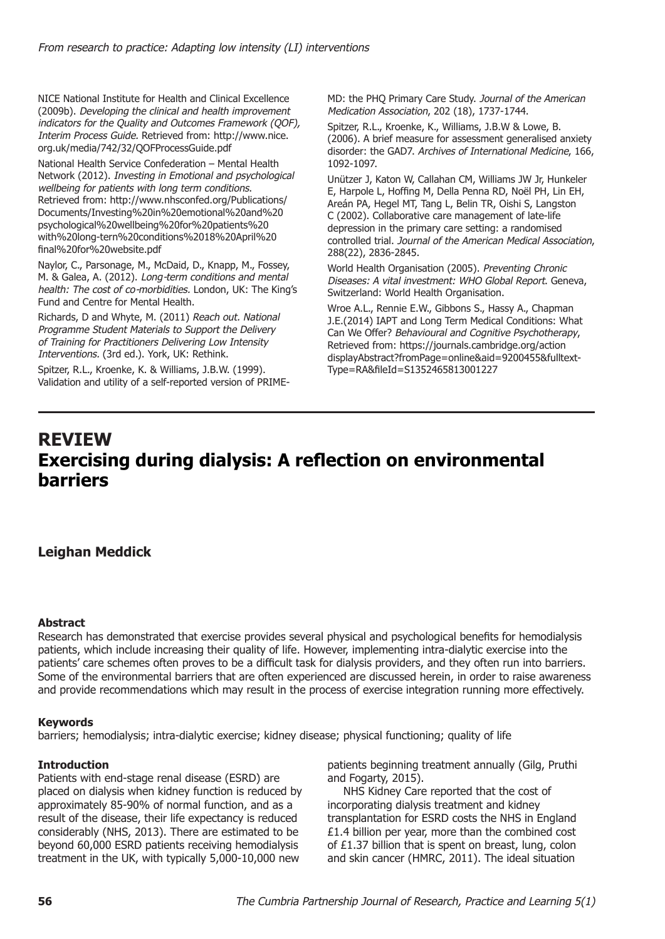NICE National Institute for Health and Clinical Excellence (2009b). *Developing the clinical and health improvement indicators for the Quality and Outcomes Framework (QOF), Interim Process Guide.* Retrieved from: http://www.nice. org.uk/media/742/32/QOFProcessGuide.pdf

National Health Service Confederation – Mental Health Network (2012). *Investing in Emotional and psychological wellbeing for patients with long term conditions*. Retrieved from: http://www.nhsconfed.org/Publications/ Documents/Investing%20in%20emotional%20and%20 psychological%20wellbeing%20for%20patients%20 with%20long-tern%20conditions%2018%20April%20 final%20for%20website.pdf

Naylor, C., Parsonage, M., McDaid, D., Knapp, M., Fossey, M. & Galea, A. (2012). *Long-term conditions and mental health: The cost of co-morbidities.* London, UK: The King's Fund and Centre for Mental Health.

Richards, D and Whyte, M. (2011) *Reach out. National Programme Student Materials to Support the Delivery of Training for Practitioners Delivering Low Intensity Interventions.* (3rd ed.). York, UK: Rethink.

Spitzer, R.L., Kroenke, K. & Williams, J.B.W. (1999). Validation and utility of a self-reported version of PRIME- MD: the PHQ Primary Care Study. *Journal of the American Medication Association*, 202 (18), 1737-1744.

Spitzer, R.L., Kroenke, K., Williams, J.B.W & Lowe, B. (2006). A brief measure for assessment generalised anxiety disorder: the GAD7. *Archives of International Medicine*, 166, 1092-1097.

Unützer J, Katon W, Callahan CM, Williams JW Jr, Hunkeler E, Harpole L, Hoffing M, Della Penna RD, Noël PH, Lin EH, Areán PA, Hegel MT, Tang L, Belin TR, Oishi S, Langston C (2002). Collaborative care management of late-life depression in the primary care setting: a randomised controlled trial. *Journal of the American Medical Association*, 288(22), 2836-2845.

World Health Organisation (2005). *Preventing Chronic Diseases: A vital investment: WHO Global Report*. Geneva, Switzerland: World Health Organisation.

Wroe A.L., Rennie E.W., Gibbons S., Hassy A., Chapman J.E.(2014) IAPT and Long Term Medical Conditions: What Can We Offer? *Behavioural and Cognitive Psychotherapy*, Retrieved from: https://journals.cambridge.org/action displayAbstract?fromPage=online&aid=9200455&fulltext-Type=RA&fileId=S1352465813001227

# **REVIEW Exercising during dialysis: A reflection on environmental barriers**

## **Leighan Meddick**

#### **Abstract**

Research has demonstrated that exercise provides several physical and psychological benefits for hemodialysis patients, which include increasing their quality of life. However, implementing intra-dialytic exercise into the patients' care schemes often proves to be a difficult task for dialysis providers, and they often run into barriers. Some of the environmental barriers that are often experienced are discussed herein, in order to raise awareness and provide recommendations which may result in the process of exercise integration running more effectively.

#### **Keywords**

barriers; hemodialysis; intra-dialytic exercise; kidney disease; physical functioning; quality of life

#### **Introduction**

Patients with end-stage renal disease (ESRD) are placed on dialysis when kidney function is reduced by approximately 85-90% of normal function, and as a result of the disease, their life expectancy is reduced considerably (NHS, 2013). There are estimated to be beyond 60,000 ESRD patients receiving hemodialysis treatment in the UK, with typically 5,000-10,000 new

patients beginning treatment annually (Gilg, Pruthi and Fogarty, 2015).

NHS Kidney Care reported that the cost of incorporating dialysis treatment and kidney transplantation for ESRD costs the NHS in England £1.4 billion per year, more than the combined cost of £1.37 billion that is spent on breast, lung, colon and skin cancer (HMRC, 2011). The ideal situation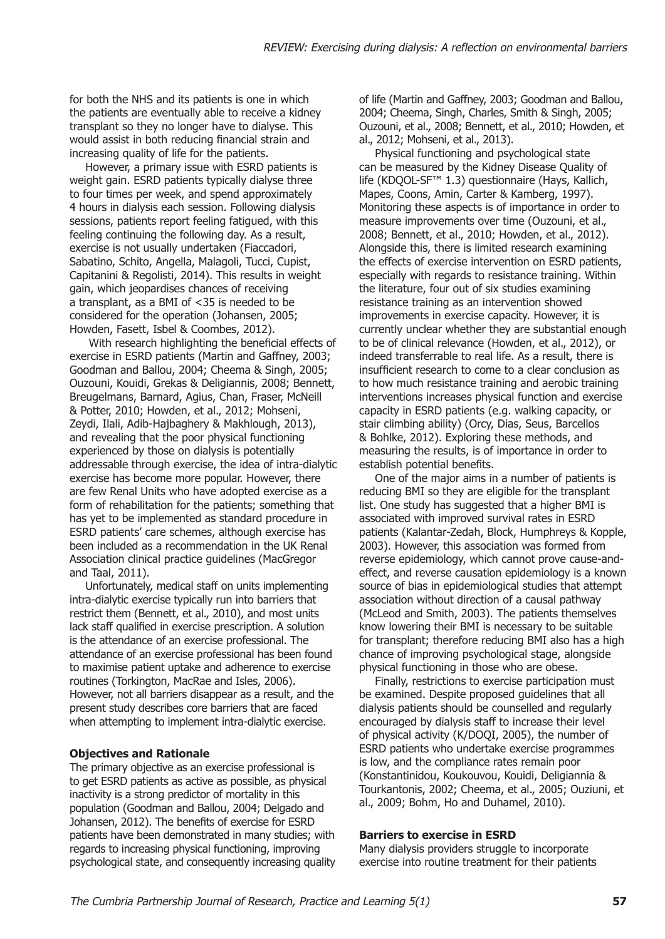for both the NHS and its patients is one in which the patients are eventually able to receive a kidney transplant so they no longer have to dialyse. This would assist in both reducing financial strain and increasing quality of life for the patients.

However, a primary issue with ESRD patients is weight gain. ESRD patients typically dialyse three to four times per week, and spend approximately 4 hours in dialysis each session. Following dialysis sessions, patients report feeling fatigued, with this feeling continuing the following day. As a result, exercise is not usually undertaken (Fiaccadori, Sabatino, Schito, Angella, Malagoli, Tucci, Cupist, Capitanini & Regolisti, 2014). This results in weight gain, which jeopardises chances of receiving a transplant, as a BMI of <35 is needed to be considered for the operation (Johansen, 2005; Howden, Fasett, Isbel & Coombes, 2012).

 With research highlighting the beneficial effects of exercise in ESRD patients (Martin and Gaffney, 2003; Goodman and Ballou, 2004; Cheema & Singh, 2005; Ouzouni, Kouidi, Grekas & Deligiannis, 2008; Bennett, Breugelmans, Barnard, Agius, Chan, Fraser, McNeill & Potter, 2010; Howden, et al., 2012; Mohseni, Zeydi, Ilali, Adib-Hajbaghery & Makhlough, 2013), and revealing that the poor physical functioning experienced by those on dialysis is potentially addressable through exercise, the idea of intra-dialytic exercise has become more popular. However, there are few Renal Units who have adopted exercise as a form of rehabilitation for the patients; something that has yet to be implemented as standard procedure in ESRD patients' care schemes, although exercise has been included as a recommendation in the UK Renal Association clinical practice guidelines (MacGregor and Taal, 2011).

Unfortunately, medical staff on units implementing intra-dialytic exercise typically run into barriers that restrict them (Bennett, et al., 2010), and most units lack staff qualified in exercise prescription. A solution is the attendance of an exercise professional. The attendance of an exercise professional has been found to maximise patient uptake and adherence to exercise routines (Torkington, MacRae and Isles, 2006). However, not all barriers disappear as a result, and the present study describes core barriers that are faced when attempting to implement intra-dialytic exercise.

#### **Objectives and Rationale**

The primary objective as an exercise professional is to get ESRD patients as active as possible, as physical inactivity is a strong predictor of mortality in this population (Goodman and Ballou, 2004; Delgado and Johansen, 2012). The benefits of exercise for ESRD patients have been demonstrated in many studies; with regards to increasing physical functioning, improving psychological state, and consequently increasing quality of life (Martin and Gaffney, 2003; Goodman and Ballou, 2004; Cheema, Singh, Charles, Smith & Singh, 2005; Ouzouni, et al., 2008; Bennett, et al., 2010; Howden, et al., 2012; Mohseni, et al., 2013).

Physical functioning and psychological state can be measured by the Kidney Disease Quality of life (KDQOL-SF™ 1.3) questionnaire (Hays, Kallich, Mapes, Coons, Amin, Carter & Kamberg, 1997). Monitoring these aspects is of importance in order to measure improvements over time (Ouzouni, et al., 2008; Bennett, et al., 2010; Howden, et al., 2012). Alongside this, there is limited research examining the effects of exercise intervention on ESRD patients, especially with regards to resistance training. Within the literature, four out of six studies examining resistance training as an intervention showed improvements in exercise capacity. However, it is currently unclear whether they are substantial enough to be of clinical relevance (Howden, et al., 2012), or indeed transferrable to real life. As a result, there is insufficient research to come to a clear conclusion as to how much resistance training and aerobic training interventions increases physical function and exercise capacity in ESRD patients (e.g. walking capacity, or stair climbing ability) (Orcy, Dias, Seus, Barcellos & Bohlke, 2012). Exploring these methods, and measuring the results, is of importance in order to establish potential benefits.

One of the major aims in a number of patients is reducing BMI so they are eligible for the transplant list. One study has suggested that a higher BMI is associated with improved survival rates in ESRD patients (Kalantar-Zedah, Block, Humphreys & Kopple, 2003). However, this association was formed from reverse epidemiology, which cannot prove cause-andeffect, and reverse causation epidemiology is a known source of bias in epidemiological studies that attempt association without direction of a causal pathway (McLeod and Smith, 2003). The patients themselves know lowering their BMI is necessary to be suitable for transplant; therefore reducing BMI also has a high chance of improving psychological stage, alongside physical functioning in those who are obese.

Finally, restrictions to exercise participation must be examined. Despite proposed guidelines that all dialysis patients should be counselled and regularly encouraged by dialysis staff to increase their level of physical activity (K/DOQI, 2005), the number of ESRD patients who undertake exercise programmes is low, and the compliance rates remain poor (Konstantinidou, Koukouvou, Kouidi, Deligiannia & Tourkantonis, 2002; Cheema, et al., 2005; Ouziuni, et al., 2009; Bohm, Ho and Duhamel, 2010).

#### **Barriers to exercise in ESRD**

Many dialysis providers struggle to incorporate exercise into routine treatment for their patients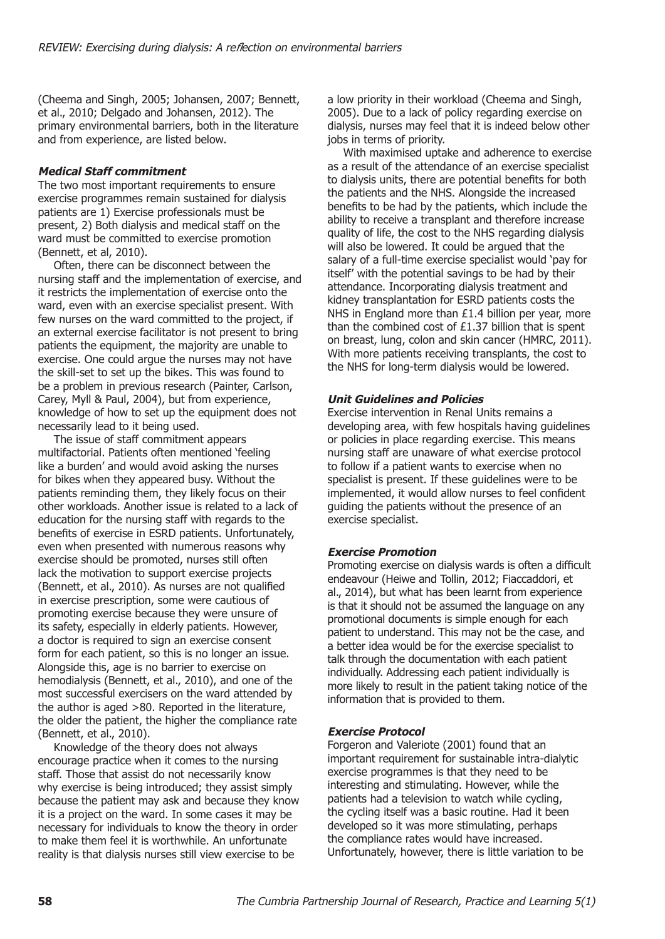(Cheema and Singh, 2005; Johansen, 2007; Bennett, et al., 2010; Delgado and Johansen, 2012). The primary environmental barriers, both in the literature and from experience, are listed below.

#### *Medical Staff commitment*

The two most important requirements to ensure exercise programmes remain sustained for dialysis patients are 1) Exercise professionals must be present, 2) Both dialysis and medical staff on the ward must be committed to exercise promotion (Bennett, et al, 2010).

Often, there can be disconnect between the nursing staff and the implementation of exercise, and it restricts the implementation of exercise onto the ward, even with an exercise specialist present. With few nurses on the ward committed to the project, if an external exercise facilitator is not present to bring patients the equipment, the majority are unable to exercise. One could argue the nurses may not have the skill-set to set up the bikes. This was found to be a problem in previous research (Painter, Carlson, Carey, Myll & Paul, 2004), but from experience, knowledge of how to set up the equipment does not necessarily lead to it being used.

The issue of staff commitment appears multifactorial. Patients often mentioned 'feeling like a burden' and would avoid asking the nurses for bikes when they appeared busy. Without the patients reminding them, they likely focus on their other workloads. Another issue is related to a lack of education for the nursing staff with regards to the benefits of exercise in ESRD patients. Unfortunately, even when presented with numerous reasons why exercise should be promoted, nurses still often lack the motivation to support exercise projects (Bennett, et al., 2010). As nurses are not qualified in exercise prescription, some were cautious of promoting exercise because they were unsure of its safety, especially in elderly patients. However, a doctor is required to sign an exercise consent form for each patient, so this is no longer an issue. Alongside this, age is no barrier to exercise on hemodialysis (Bennett, et al., 2010), and one of the most successful exercisers on the ward attended by the author is aged >80. Reported in the literature, the older the patient, the higher the compliance rate (Bennett, et al., 2010).

Knowledge of the theory does not always encourage practice when it comes to the nursing staff. Those that assist do not necessarily know why exercise is being introduced; they assist simply because the patient may ask and because they know it is a project on the ward. In some cases it may be necessary for individuals to know the theory in order to make them feel it is worthwhile. An unfortunate reality is that dialysis nurses still view exercise to be

a low priority in their workload (Cheema and Singh, 2005). Due to a lack of policy regarding exercise on dialysis, nurses may feel that it is indeed below other jobs in terms of priority.

With maximised uptake and adherence to exercise as a result of the attendance of an exercise specialist to dialysis units, there are potential benefits for both the patients and the NHS. Alongside the increased benefits to be had by the patients, which include the ability to receive a transplant and therefore increase quality of life, the cost to the NHS regarding dialysis will also be lowered. It could be argued that the salary of a full-time exercise specialist would 'pay for itself' with the potential savings to be had by their attendance. Incorporating dialysis treatment and kidney transplantation for ESRD patients costs the NHS in England more than £1.4 billion per year, more than the combined cost of £1.37 billion that is spent on breast, lung, colon and skin cancer (HMRC, 2011). With more patients receiving transplants, the cost to the NHS for long-term dialysis would be lowered.

#### *Unit Guidelines and Policies*

Exercise intervention in Renal Units remains a developing area, with few hospitals having guidelines or policies in place regarding exercise. This means nursing staff are unaware of what exercise protocol to follow if a patient wants to exercise when no specialist is present. If these guidelines were to be implemented, it would allow nurses to feel confident guiding the patients without the presence of an exercise specialist.

#### *Exercise Promotion*

Promoting exercise on dialysis wards is often a difficult endeavour (Heiwe and Tollin, 2012; Fiaccaddori, et al., 2014), but what has been learnt from experience is that it should not be assumed the language on any promotional documents is simple enough for each patient to understand. This may not be the case, and a better idea would be for the exercise specialist to talk through the documentation with each patient individually. Addressing each patient individually is more likely to result in the patient taking notice of the information that is provided to them.

## *Exercise Protocol*

Forgeron and Valeriote (2001) found that an important requirement for sustainable intra-dialytic exercise programmes is that they need to be interesting and stimulating. However, while the patients had a television to watch while cycling, the cycling itself was a basic routine. Had it been developed so it was more stimulating, perhaps the compliance rates would have increased. Unfortunately, however, there is little variation to be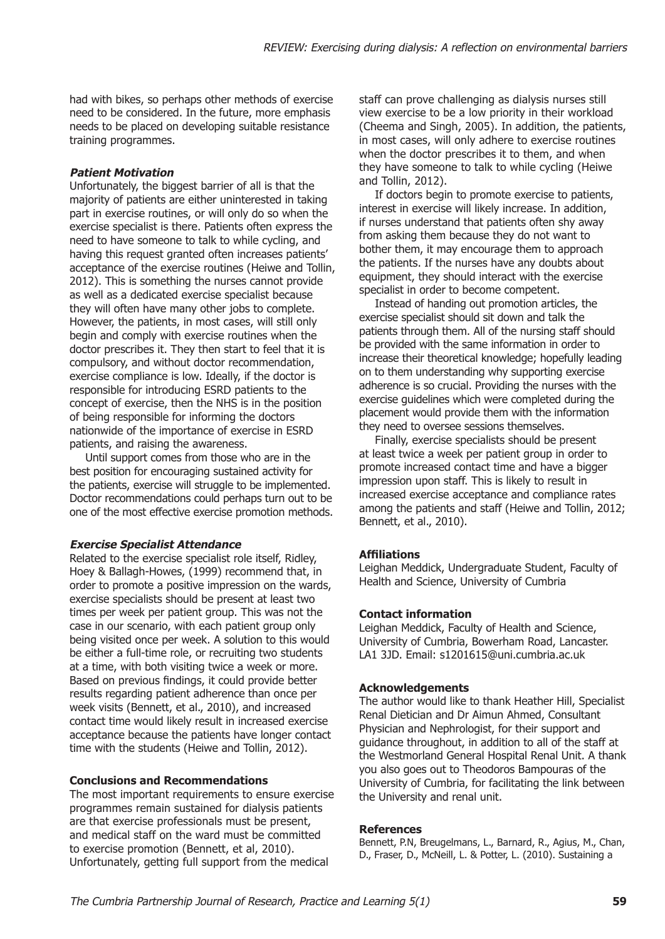had with bikes, so perhaps other methods of exercise need to be considered. In the future, more emphasis needs to be placed on developing suitable resistance training programmes.

## *Patient Motivation*

Unfortunately, the biggest barrier of all is that the majority of patients are either uninterested in taking part in exercise routines, or will only do so when the exercise specialist is there. Patients often express the need to have someone to talk to while cycling, and having this request granted often increases patients' acceptance of the exercise routines (Heiwe and Tollin, 2012). This is something the nurses cannot provide as well as a dedicated exercise specialist because they will often have many other jobs to complete. However, the patients, in most cases, will still only begin and comply with exercise routines when the doctor prescribes it. They then start to feel that it is compulsory, and without doctor recommendation, exercise compliance is low. Ideally, if the doctor is responsible for introducing ESRD patients to the concept of exercise, then the NHS is in the position of being responsible for informing the doctors nationwide of the importance of exercise in ESRD patients, and raising the awareness.

Until support comes from those who are in the best position for encouraging sustained activity for the patients, exercise will struggle to be implemented. Doctor recommendations could perhaps turn out to be one of the most effective exercise promotion methods.

## *Exercise Specialist Attendance*

Related to the exercise specialist role itself, Ridley, Hoey & Ballagh-Howes, (1999) recommend that, in order to promote a positive impression on the wards, exercise specialists should be present at least two times per week per patient group. This was not the case in our scenario, with each patient group only being visited once per week. A solution to this would be either a full-time role, or recruiting two students at a time, with both visiting twice a week or more. Based on previous findings, it could provide better results regarding patient adherence than once per week visits (Bennett, et al., 2010), and increased contact time would likely result in increased exercise acceptance because the patients have longer contact time with the students (Heiwe and Tollin, 2012).

## **Conclusions and Recommendations**

The most important requirements to ensure exercise programmes remain sustained for dialysis patients are that exercise professionals must be present, and medical staff on the ward must be committed to exercise promotion (Bennett, et al, 2010). Unfortunately, getting full support from the medical

staff can prove challenging as dialysis nurses still view exercise to be a low priority in their workload (Cheema and Singh, 2005). In addition, the patients, in most cases, will only adhere to exercise routines when the doctor prescribes it to them, and when they have someone to talk to while cycling (Heiwe and Tollin, 2012).

If doctors begin to promote exercise to patients, interest in exercise will likely increase. In addition, if nurses understand that patients often shy away from asking them because they do not want to bother them, it may encourage them to approach the patients. If the nurses have any doubts about equipment, they should interact with the exercise specialist in order to become competent.

Instead of handing out promotion articles, the exercise specialist should sit down and talk the patients through them. All of the nursing staff should be provided with the same information in order to increase their theoretical knowledge; hopefully leading on to them understanding why supporting exercise adherence is so crucial. Providing the nurses with the exercise guidelines which were completed during the placement would provide them with the information they need to oversee sessions themselves.

Finally, exercise specialists should be present at least twice a week per patient group in order to promote increased contact time and have a bigger impression upon staff. This is likely to result in increased exercise acceptance and compliance rates among the patients and staff (Heiwe and Tollin, 2012; Bennett, et al., 2010).

## **Affiliations**

Leighan Meddick, Undergraduate Student, Faculty of Health and Science, University of Cumbria

## **Contact information**

Leighan Meddick, Faculty of Health and Science, University of Cumbria, Bowerham Road, Lancaster. LA1 3JD. Email: s1201615@uni.cumbria.ac.uk

## **Acknowledgements**

The author would like to thank Heather Hill, Specialist Renal Dietician and Dr Aimun Ahmed, Consultant Physician and Nephrologist, for their support and guidance throughout, in addition to all of the staff at the Westmorland General Hospital Renal Unit. A thank you also goes out to Theodoros Bampouras of the University of Cumbria, for facilitating the link between the University and renal unit.

## **References**

Bennett, P.N, Breugelmans, L., Barnard, R., Agius, M., Chan, D., Fraser, D., McNeill, L. & Potter, L. (2010). Sustaining a